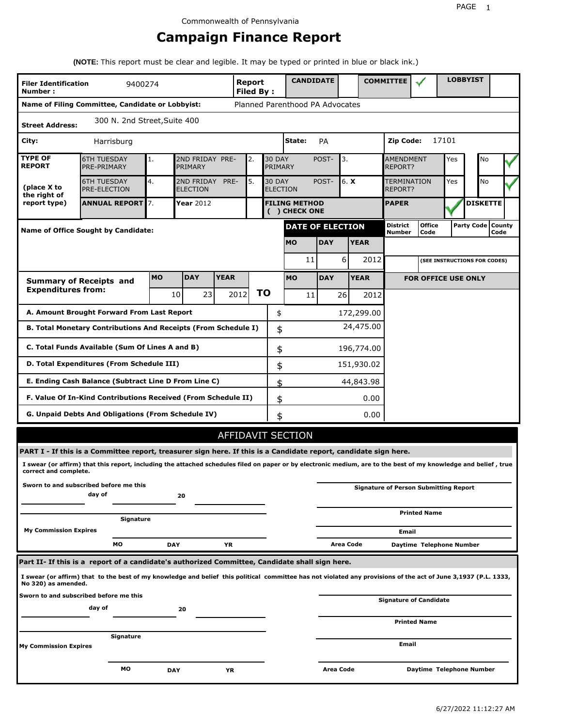# **Campaign Finance Report**

**(NOTE:** This report must be clear and legible. It may be typed or printed in blue or black ink.)

| <b>Filer Identification</b><br>Number:                                            | 9400274                                                                                                                                                         |            |                               |             | Report<br><b>Filed By:</b> |    |                          | <b>CANDIDATE</b>                      |            |                  |             | <b>COMMITTEE</b>              |                                              |       | <b>LOBBYIST</b>     |      |  |
|-----------------------------------------------------------------------------------|-----------------------------------------------------------------------------------------------------------------------------------------------------------------|------------|-------------------------------|-------------|----------------------------|----|--------------------------|---------------------------------------|------------|------------------|-------------|-------------------------------|----------------------------------------------|-------|---------------------|------|--|
|                                                                                   | Name of Filing Committee, Candidate or Lobbyist:                                                                                                                |            |                               |             |                            |    |                          | Planned Parenthood PA Advocates       |            |                  |             |                               |                                              |       |                     |      |  |
| <b>Street Address:</b>                                                            | 300 N. 2nd Street, Suite 400                                                                                                                                    |            |                               |             |                            |    |                          |                                       |            |                  |             |                               |                                              |       |                     |      |  |
| City:                                                                             | Harrisburg                                                                                                                                                      |            |                               |             |                            |    |                          | State:                                | PA         |                  |             | Zip Code:                     |                                              | 17101 |                     |      |  |
| <b>TYPE OF</b><br><b>REPORT</b>                                                   | <b>6TH TUESDAY</b><br>PRE-PRIMARY                                                                                                                               | 1.         | 2ND FRIDAY PRE-<br>PRIMARY    |             | 2.                         |    | <b>30 DAY</b><br>PRIMARY |                                       | POST-      | 3.               |             | <b>AMENDMENT</b><br>REPORT?   |                                              | Yes   | No                  |      |  |
| (place X to<br>the right of                                                       | <b>6TH TUESDAY</b><br>PRE-ELECTION                                                                                                                              | 4.         | 2ND FRIDAY<br><b>ELECTION</b> | PRE-        | 5.                         |    | <b>30 DAY</b>            | <b>ELECTION</b>                       | POST-      | 6. X             |             | <b>TERMINATION</b><br>REPORT? |                                              | Yes   | No                  |      |  |
| report type)                                                                      | <b>ANNUAL REPORT</b> 7.                                                                                                                                         |            | <b>Year</b> 2012              |             |                            |    |                          | <b>FILING METHOD</b><br>( ) CHECK ONE |            |                  |             | <b>PAPER</b>                  |                                              |       | <b>DISKETTE</b>     |      |  |
|                                                                                   | <b>Name of Office Sought by Candidate:</b>                                                                                                                      |            |                               |             |                            |    |                          | <b>DATE OF ELECTION</b>               |            |                  |             | <b>District</b><br>Number     | <b>Office</b><br>Code                        |       | Party Code   County | Code |  |
|                                                                                   |                                                                                                                                                                 |            |                               |             |                            |    |                          | <b>MO</b>                             | <b>DAY</b> |                  | <b>YEAR</b> |                               |                                              |       |                     |      |  |
|                                                                                   |                                                                                                                                                                 |            |                               |             |                            |    |                          | 11                                    |            | 6                | 2012        |                               | (SEE INSTRUCTIONS FOR CODES)                 |       |                     |      |  |
|                                                                                   | <b>Summary of Receipts and</b>                                                                                                                                  | <b>MO</b>  | <b>DAY</b>                    | <b>YEAR</b> |                            |    |                          | <b>MO</b>                             | <b>DAY</b> |                  | <b>YEAR</b> |                               | <b>FOR OFFICE USE ONLY</b>                   |       |                     |      |  |
| <b>Expenditures from:</b>                                                         |                                                                                                                                                                 |            | 10<br>23                      |             | 2012                       | ΤO |                          | 11                                    |            | 26               | 2012        |                               |                                              |       |                     |      |  |
|                                                                                   | A. Amount Brought Forward From Last Report                                                                                                                      |            |                               |             |                            |    | \$                       |                                       |            |                  | 172,299.00  |                               |                                              |       |                     |      |  |
| 24,475.00<br>B. Total Monetary Contributions And Receipts (From Schedule I)<br>\$ |                                                                                                                                                                 |            |                               |             |                            |    |                          |                                       |            |                  |             |                               |                                              |       |                     |      |  |
| C. Total Funds Available (Sum Of Lines A and B)<br>\$<br>196,774.00               |                                                                                                                                                                 |            |                               |             |                            |    |                          |                                       |            |                  |             |                               |                                              |       |                     |      |  |
| D. Total Expenditures (From Schedule III)<br>151,930.02<br>\$                     |                                                                                                                                                                 |            |                               |             |                            |    |                          |                                       |            |                  |             |                               |                                              |       |                     |      |  |
|                                                                                   | E. Ending Cash Balance (Subtract Line D From Line C)                                                                                                            |            |                               |             |                            |    | \$                       |                                       |            |                  | 44,843.98   |                               |                                              |       |                     |      |  |
|                                                                                   | F. Value Of In-Kind Contributions Received (From Schedule II)                                                                                                   |            |                               |             |                            |    | \$                       |                                       |            |                  | 0.00        |                               |                                              |       |                     |      |  |
|                                                                                   | <b>G. Unpaid Debts And Obligations (From Schedule IV)</b>                                                                                                       |            |                               |             |                            |    | \$                       |                                       |            |                  | 0.00        |                               |                                              |       |                     |      |  |
|                                                                                   |                                                                                                                                                                 |            |                               |             |                            |    |                          | <b>AFFIDAVIT SECTION</b>              |            |                  |             |                               |                                              |       |                     |      |  |
|                                                                                   | PART I - If this is a Committee report, treasurer sign here. If this is a Candidate report, candidate sign here.                                                |            |                               |             |                            |    |                          |                                       |            |                  |             |                               |                                              |       |                     |      |  |
| correct and complete.                                                             | I swear (or affirm) that this report, including the attached schedules filed on paper or by electronic medium, are to the best of my knowledge and belief, true |            |                               |             |                            |    |                          |                                       |            |                  |             |                               |                                              |       |                     |      |  |
|                                                                                   | Sworn to and subscribed before me this<br>day of                                                                                                                |            | 20                            |             |                            |    |                          |                                       |            |                  |             |                               | <b>Signature of Person Submitting Report</b> |       |                     |      |  |
|                                                                                   | Signature                                                                                                                                                       |            |                               |             |                            |    |                          |                                       |            |                  |             |                               | <b>Printed Name</b>                          |       |                     |      |  |
| <b>My Commission Expires</b>                                                      |                                                                                                                                                                 |            |                               |             |                            |    |                          |                                       |            |                  |             | Email                         |                                              |       |                     |      |  |
|                                                                                   | MО                                                                                                                                                              | <b>DAY</b> |                               | ΥR          |                            |    |                          |                                       |            | <b>Area Code</b> |             |                               | Daytime Telephone Number                     |       |                     |      |  |
|                                                                                   | Part II- If this is a report of a candidate's authorized Committee, Candidate shall sign here.                                                                  |            |                               |             |                            |    |                          |                                       |            |                  |             |                               |                                              |       |                     |      |  |
| No 320) as amended.                                                               | I swear (or affirm) that to the best of my knowledge and belief this political committee has not violated any provisions of the act of June 3,1937 (P.L. 1333,  |            |                               |             |                            |    |                          |                                       |            |                  |             |                               |                                              |       |                     |      |  |
|                                                                                   | Sworn to and subscribed before me this<br>day of                                                                                                                |            | 20                            |             |                            |    |                          |                                       |            |                  |             |                               | Signature of Candidate                       |       |                     |      |  |
|                                                                                   |                                                                                                                                                                 |            |                               |             |                            |    |                          |                                       |            |                  |             |                               | <b>Printed Name</b>                          |       |                     |      |  |
| <b>My Commission Expires</b>                                                      | Signature                                                                                                                                                       |            |                               |             |                            |    |                          |                                       |            |                  |             | Email                         |                                              |       |                     |      |  |
|                                                                                   | МO                                                                                                                                                              | <b>DAY</b> |                               | YR          |                            |    |                          |                                       | Area Code  |                  |             |                               | Daytime Telephone Number                     |       |                     |      |  |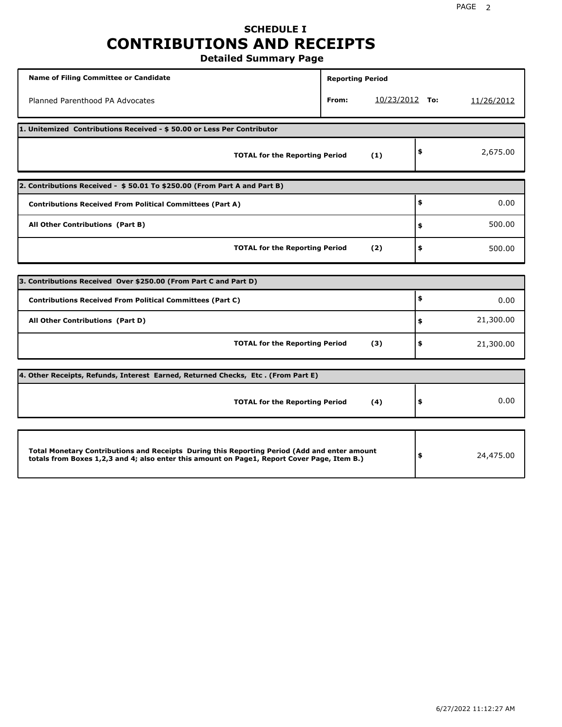# **SCHEDULE I CONTRIBUTIONS AND RECEIPTS**

**Detailed Summary Page**

| <b>Name of Filing Committee or Candidate</b>                                                                                                                                                | <b>Reporting Period</b> |                |    |            |  |  |  |  |
|---------------------------------------------------------------------------------------------------------------------------------------------------------------------------------------------|-------------------------|----------------|----|------------|--|--|--|--|
| Planned Parenthood PA Advocates                                                                                                                                                             | From:                   | 10/23/2012 To: |    | 11/26/2012 |  |  |  |  |
| 1. Unitemized Contributions Received - \$50.00 or Less Per Contributor                                                                                                                      |                         |                |    |            |  |  |  |  |
| <b>TOTAL for the Reporting Period</b>                                                                                                                                                       |                         | (1)            | \$ | 2,675.00   |  |  |  |  |
| 2. Contributions Received - \$50.01 To \$250.00 (From Part A and Part B)                                                                                                                    |                         |                |    |            |  |  |  |  |
| <b>Contributions Received From Political Committees (Part A)</b>                                                                                                                            |                         |                | \$ | 0.00       |  |  |  |  |
| All Other Contributions (Part B)                                                                                                                                                            |                         |                | \$ | 500.00     |  |  |  |  |
| <b>TOTAL for the Reporting Period</b>                                                                                                                                                       |                         | (2)            | \$ | 500.00     |  |  |  |  |
|                                                                                                                                                                                             |                         |                |    |            |  |  |  |  |
| 3. Contributions Received Over \$250.00 (From Part C and Part D)                                                                                                                            |                         |                |    |            |  |  |  |  |
| <b>Contributions Received From Political Committees (Part C)</b>                                                                                                                            |                         |                | \$ | 0.00       |  |  |  |  |
| All Other Contributions (Part D)                                                                                                                                                            |                         |                | \$ | 21,300.00  |  |  |  |  |
| <b>TOTAL for the Reporting Period</b>                                                                                                                                                       |                         | (3)            | \$ | 21,300.00  |  |  |  |  |
| [4. Other Receipts, Refunds, Interest Earned, Returned Checks, Etc. (From Part E)                                                                                                           |                         |                |    |            |  |  |  |  |
| <b>TOTAL for the Reporting Period</b>                                                                                                                                                       |                         | (4)            | \$ | 0.00       |  |  |  |  |
|                                                                                                                                                                                             |                         |                |    |            |  |  |  |  |
| Total Monetary Contributions and Receipts During this Reporting Period (Add and enter amount<br>totals from Boxes 1,2,3 and 4; also enter this amount on Page1, Report Cover Page, Item B.) |                         |                | \$ | 24,475.00  |  |  |  |  |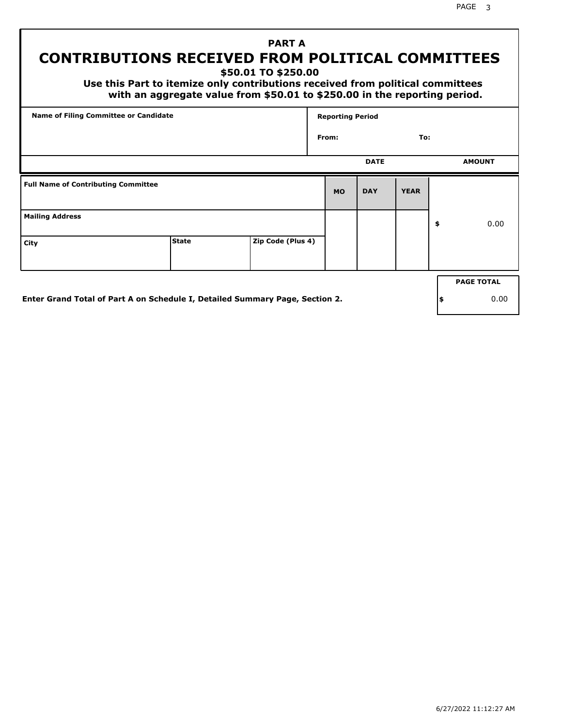PAGE 3

## **PART A CONTRIBUTIONS RECEIVED FROM POLITICAL COMMITTEES**

**\$50.01 TO \$250.00**

 **Use this Part to itemize only contributions received from political committees with an aggregate value from \$50.01 to \$250.00 in the reporting period.**

| Name of Filing Committee or Candidate      |              |                   | <b>Reporting Period</b> |             |             |    |                   |  |
|--------------------------------------------|--------------|-------------------|-------------------------|-------------|-------------|----|-------------------|--|
|                                            |              |                   | From:                   |             | To:         |    |                   |  |
|                                            |              |                   |                         | <b>DATE</b> |             |    | <b>AMOUNT</b>     |  |
| <b>Full Name of Contributing Committee</b> |              |                   | <b>MO</b>               | <b>DAY</b>  | <b>YEAR</b> |    |                   |  |
| <b>Mailing Address</b>                     |              |                   |                         |             |             | \$ | 0.00              |  |
| City                                       | <b>State</b> | Zip Code (Plus 4) |                         |             |             |    |                   |  |
|                                            |              |                   |                         |             |             |    | <b>PAGE TOTAL</b> |  |
|                                            |              |                   |                         |             |             |    |                   |  |

**Enter Grand Total of Part A on Schedule I, Detailed Summary Page, Section 2.**

**\$** 0.00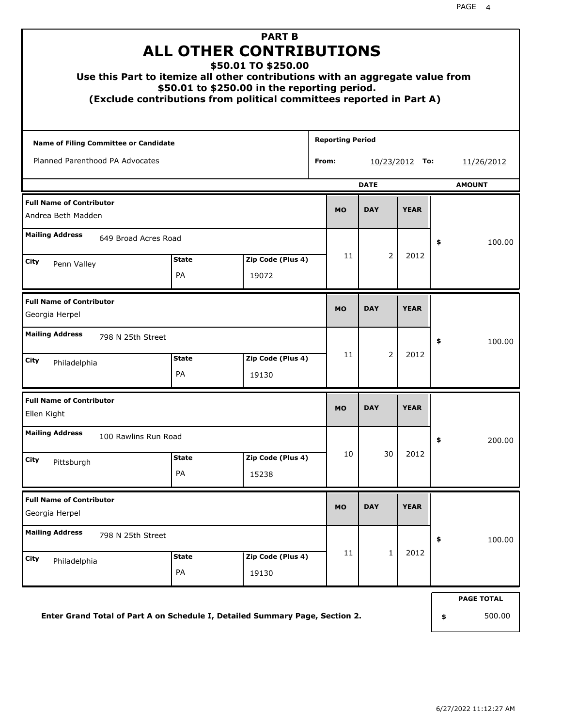| <b>PART B</b><br><b>ALL OTHER CONTRIBUTIONS</b><br>\$50.01 TO \$250.00<br>Use this Part to itemize all other contributions with an aggregate value from<br>\$50.01 to \$250.00 in the reporting period.<br>(Exclude contributions from political committees reported in Part A) |                           |                            |            |                            |                        |             |        |                   |  |  |
|---------------------------------------------------------------------------------------------------------------------------------------------------------------------------------------------------------------------------------------------------------------------------------|---------------------------|----------------------------|------------|----------------------------|------------------------|-------------|--------|-------------------|--|--|
| Name of Filing Committee or Candidate                                                                                                                                                                                                                                           |                           |                            |            | <b>Reporting Period</b>    |                        |             |        |                   |  |  |
| Planned Parenthood PA Advocates                                                                                                                                                                                                                                                 |                           |                            |            | From:<br>10/23/2012<br>To: |                        |             |        | 11/26/2012        |  |  |
|                                                                                                                                                                                                                                                                                 |                           |                            |            |                            | <b>DATE</b>            |             |        | <b>AMOUNT</b>     |  |  |
| <b>Full Name of Contributor</b><br>Andrea Beth Madden                                                                                                                                                                                                                           |                           | <b>MO</b>                  | <b>DAY</b> | <b>YEAR</b>                |                        |             |        |                   |  |  |
| <b>Mailing Address</b><br>649 Broad Acres Road                                                                                                                                                                                                                                  |                           |                            |            | 11                         |                        |             | \$     | 100.00            |  |  |
| City<br>Penn Valley                                                                                                                                                                                                                                                             | <b>State</b><br><b>PA</b> | Zip Code (Plus 4)<br>19072 |            |                            | $\overline{2}$<br>2012 |             |        |                   |  |  |
| <b>Full Name of Contributor</b><br>Georgia Herpel                                                                                                                                                                                                                               |                           |                            |            |                            | <b>DAY</b>             | <b>YEAR</b> |        |                   |  |  |
| <b>Mailing Address</b><br>798 N 25th Street                                                                                                                                                                                                                                     |                           |                            |            |                            |                        |             | \$     | 100.00            |  |  |
| City<br>Philadelphia                                                                                                                                                                                                                                                            | <b>State</b><br>PA        | Zip Code (Plus 4)<br>19130 |            | 11                         | $\overline{2}$         | 2012        |        |                   |  |  |
| <b>Full Name of Contributor</b><br>Ellen Kight                                                                                                                                                                                                                                  |                           |                            |            | <b>MO</b>                  | <b>DAY</b>             | <b>YEAR</b> |        |                   |  |  |
| <b>Mailing Address</b><br>100 Rawlins Run Road                                                                                                                                                                                                                                  |                           |                            |            |                            |                        |             | Ş      | 200.00            |  |  |
| City<br>Pittsburgh                                                                                                                                                                                                                                                              | <b>State</b><br>PA        | Zip Code (Plus 4)<br>15238 |            | 10                         | 30                     | 2012        |        |                   |  |  |
| <b>Full Name of Contributor</b><br>Georgia Herpel                                                                                                                                                                                                                               |                           |                            |            | <b>MO</b>                  | <b>DAY</b>             | <b>YEAR</b> |        |                   |  |  |
| <b>Mailing Address</b><br>798 N 25th Street                                                                                                                                                                                                                                     |                           |                            |            |                            |                        | \$          | 100.00 |                   |  |  |
| City<br>Philadelphia                                                                                                                                                                                                                                                            | <b>State</b><br>PA        | Zip Code (Plus 4)<br>19130 |            | 11                         | $\mathbf{1}$           | 2012        |        |                   |  |  |
|                                                                                                                                                                                                                                                                                 |                           |                            |            |                            |                        |             |        | <b>PAGE TOTAL</b> |  |  |

**Enter Grand Total of Part A on Schedule I, Detailed Summary Page, Section 2.**

**\$** 500.00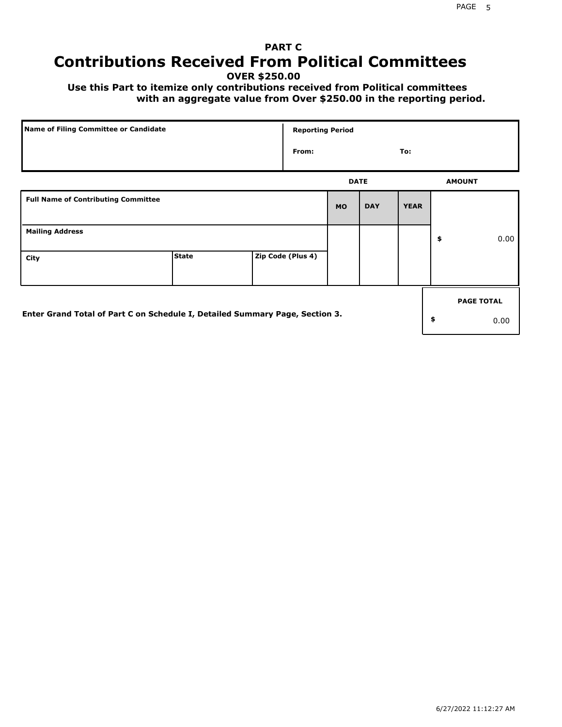## **PART C Contributions Received From Political Committees**

**OVER \$250.00**

 **Use this Part to itemize only contributions received from Political committees with an aggregate value from Over \$250.00 in the reporting period.**

| Name of Filing Committee or Candidate                                        |              | <b>Reporting Period</b> |           |             |             |                   |
|------------------------------------------------------------------------------|--------------|-------------------------|-----------|-------------|-------------|-------------------|
|                                                                              |              | From:                   |           |             | To:         |                   |
|                                                                              |              |                         |           | <b>DATE</b> |             | <b>AMOUNT</b>     |
| <b>Full Name of Contributing Committee</b>                                   |              |                         | <b>MO</b> | <b>DAY</b>  | <b>YEAR</b> |                   |
| <b>Mailing Address</b>                                                       |              |                         |           |             |             | \$<br>0.00        |
| City                                                                         | <b>State</b> | Zip Code (Plus 4)       |           |             |             |                   |
|                                                                              |              |                         |           |             |             | <b>PAGE TOTAL</b> |
| Enter Grand Total of Part C on Schedule I, Detailed Summary Page, Section 3. |              |                         |           |             |             | \$<br>0.00        |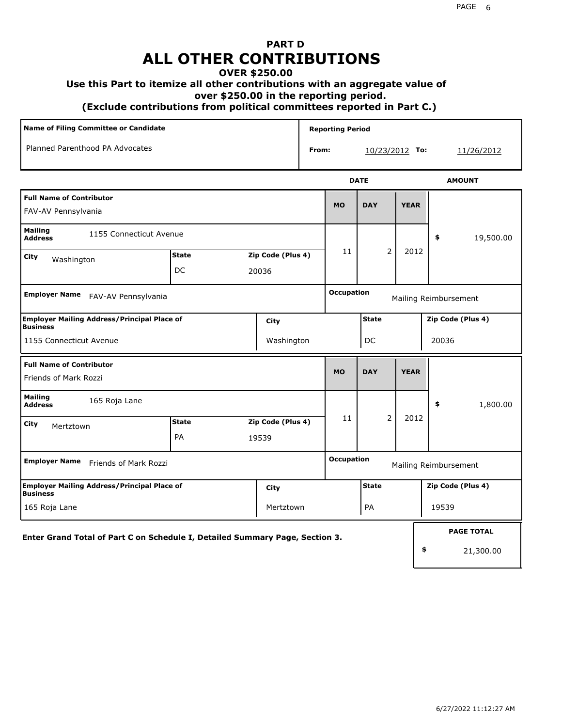## **PART D ALL OTHER CONTRIBUTIONS**

### **OVER \$250.00**

### **Use this Part to itemize all other contributions with an aggregate value of**

 **over \$250.00 in the reporting period.**

 **(Exclude contributions from political committees reported in Part C.)** 

|                                                        | Name of Filing Committee or Candidate |  |             | <b>Reporting Period</b>    |            |             |   |               |
|--------------------------------------------------------|---------------------------------------|--|-------------|----------------------------|------------|-------------|---|---------------|
|                                                        | Planned Parenthood PA Advocates       |  |             | From:<br>10/23/2012<br>То: |            |             |   | 11/26/2012    |
|                                                        |                                       |  | <b>DATE</b> |                            |            |             |   | <b>AMOUNT</b> |
| <b>Full Name of Contributor</b><br>FAV-AV Pennsylvania |                                       |  |             | <b>MO</b>                  | <b>DAY</b> | <b>YEAR</b> |   |               |
| <b>Mailing</b>                                         | 1155 Connecticut Avenue               |  |             |                            |            |             | ¢ | 10 E00 00     |

| <b>IIJJ CONNECTION AVENUE</b><br><b>Address</b>                              |              |  |                   |                   |                |             | \$                    | 19,500.00         |  |
|------------------------------------------------------------------------------|--------------|--|-------------------|-------------------|----------------|-------------|-----------------------|-------------------|--|
| City<br>Washington                                                           | <b>State</b> |  | Zip Code (Plus 4) | 11                | $\overline{2}$ | 2012        |                       |                   |  |
|                                                                              | DC           |  | 20036             |                   |                |             |                       |                   |  |
| <b>Employer Name</b><br>FAV-AV Pennsylvania                                  |              |  |                   | <b>Occupation</b> |                |             | Mailing Reimbursement |                   |  |
| <b>Employer Mailing Address/Principal Place of</b><br>Business               |              |  | City              |                   | <b>State</b>   |             | Zip Code (Plus 4)     |                   |  |
| 1155 Connecticut Avenue                                                      |              |  | Washington        |                   | DC             |             | 20036                 |                   |  |
| <b>Full Name of Contributor</b><br>Friends of Mark Rozzi                     |              |  |                   | <b>MO</b>         | <b>DAY</b>     | <b>YEAR</b> |                       |                   |  |
|                                                                              |              |  |                   |                   |                |             |                       |                   |  |
| <b>Mailing</b><br>165 Roja Lane<br><b>Address</b>                            |              |  |                   |                   |                |             | \$                    | 1,800.00          |  |
| City<br>Mertztown                                                            | <b>State</b> |  | Zip Code (Plus 4) | 11                | $\overline{2}$ | 2012        |                       |                   |  |
|                                                                              | PA           |  | 19539             |                   |                |             |                       |                   |  |
| <b>Employer Name</b><br>Friends of Mark Rozzi                                |              |  |                   | <b>Occupation</b> |                |             | Mailing Reimbursement |                   |  |
| <b>Employer Mailing Address/Principal Place of</b><br>Business               |              |  | City              |                   | <b>State</b>   |             | Zip Code (Plus 4)     |                   |  |
| 165 Roja Lane                                                                |              |  | Mertztown         | PA<br>19539       |                |             |                       |                   |  |
| Enter Grand Total of Part C on Schedule I, Detailed Summary Page, Section 3. |              |  |                   |                   |                |             |                       | <b>PAGE TOTAL</b> |  |

21,300.00

**\$**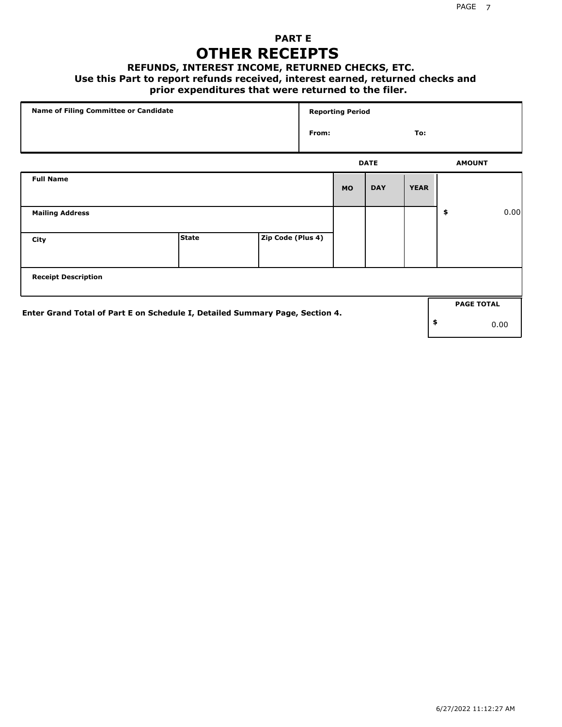## **PART E OTHER RECEIPTS**

#### **REFUNDS, INTEREST INCOME, RETURNED CHECKS, ETC.**

 **Use this Part to report refunds received, interest earned, returned checks and**

### **prior expenditures that were returned to the filer.**

| Name of Filing Committee or Candidate |                                                                              |                   |       | <b>Reporting Period</b> |             |             |    |                   |      |
|---------------------------------------|------------------------------------------------------------------------------|-------------------|-------|-------------------------|-------------|-------------|----|-------------------|------|
|                                       |                                                                              |                   | From: |                         |             | To:         |    |                   |      |
|                                       |                                                                              |                   |       |                         | <b>DATE</b> |             |    | <b>AMOUNT</b>     |      |
| <b>Full Name</b>                      |                                                                              |                   |       | <b>MO</b>               | <b>DAY</b>  | <b>YEAR</b> |    |                   |      |
| <b>Mailing Address</b>                |                                                                              |                   |       |                         |             |             | \$ |                   | 0.00 |
| City                                  | <b>State</b>                                                                 | Zip Code (Plus 4) |       |                         |             |             |    |                   |      |
| <b>Receipt Description</b>            |                                                                              |                   |       |                         |             |             |    |                   |      |
|                                       |                                                                              |                   |       |                         |             |             |    | <b>PAGE TOTAL</b> |      |
|                                       | Enter Grand Total of Part E on Schedule I, Detailed Summary Page, Section 4. |                   |       |                         |             |             | \$ |                   | 0.00 |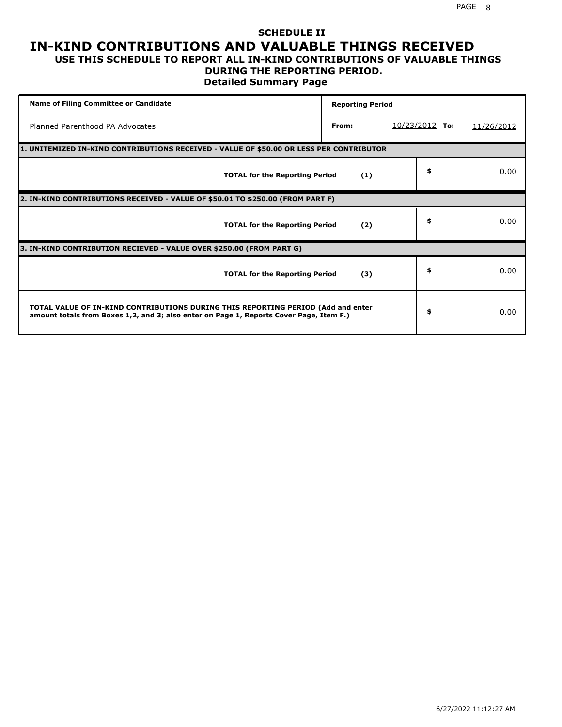### **SCHEDULE II IN-KIND CONTRIBUTIONS AND VALUABLE THINGS RECEIVED USE THIS SCHEDULE TO REPORT ALL IN-KIND CONTRIBUTIONS OF VALUABLE THINGS**

## **DURING THE REPORTING PERIOD.**

**Detailed Summary Page**

| <b>Name of Filing Committee or Candidate</b>                                                                                                                                | <b>Reporting Period</b> |                  |            |
|-----------------------------------------------------------------------------------------------------------------------------------------------------------------------------|-------------------------|------------------|------------|
| Planned Parenthood PA Advocates                                                                                                                                             | From:                   | $10/23/2012$ To: | 11/26/2012 |
| 1. UNITEMIZED IN-KIND CONTRIBUTIONS RECEIVED - VALUE OF \$50.00 OR LESS PER CONTRIBUTOR                                                                                     |                         |                  |            |
| <b>TOTAL for the Reporting Period</b>                                                                                                                                       | (1)                     | \$               | 0.00       |
| 2. IN-KIND CONTRIBUTIONS RECEIVED - VALUE OF \$50.01 TO \$250.00 (FROM PART F)                                                                                              |                         |                  |            |
| <b>TOTAL for the Reporting Period</b>                                                                                                                                       | (2)                     | \$               | 0.00       |
| 3. IN-KIND CONTRIBUTION RECIEVED - VALUE OVER \$250.00 (FROM PART G)                                                                                                        |                         |                  |            |
| <b>TOTAL for the Reporting Period</b>                                                                                                                                       | (3)                     | \$               | 0.00       |
| TOTAL VALUE OF IN-KIND CONTRIBUTIONS DURING THIS REPORTING PERIOD (Add and enter<br>amount totals from Boxes 1,2, and 3; also enter on Page 1, Reports Cover Page, Item F.) |                         | \$               | 0.00       |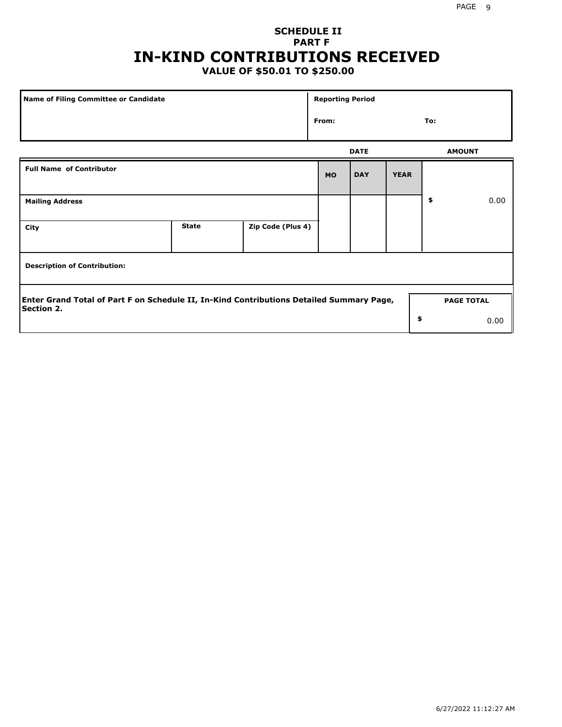## **SCHEDULE II PART F IN-KIND CONTRIBUTIONS RECEIVED**

## **VALUE OF \$50.01 TO \$250.00**

| Name of Filing Committee or Candidate                                                                         |              |                   | <b>Reporting Period</b> |             |             |                   |      |
|---------------------------------------------------------------------------------------------------------------|--------------|-------------------|-------------------------|-------------|-------------|-------------------|------|
|                                                                                                               |              |                   | From:                   |             |             | To:               |      |
|                                                                                                               |              |                   |                         | <b>DATE</b> |             | <b>AMOUNT</b>     |      |
| <b>Full Name of Contributor</b>                                                                               |              |                   | <b>MO</b>               | <b>DAY</b>  | <b>YEAR</b> |                   |      |
| <b>Mailing Address</b>                                                                                        |              |                   |                         |             |             | \$                | 0.00 |
| City                                                                                                          | <b>State</b> | Zip Code (Plus 4) |                         |             |             |                   |      |
| <b>Description of Contribution:</b>                                                                           |              |                   |                         |             |             |                   |      |
| Enter Grand Total of Part F on Schedule II, In-Kind Contributions Detailed Summary Page,<br><b>Section 2.</b> |              |                   |                         |             |             | <b>PAGE TOTAL</b> |      |
|                                                                                                               |              |                   |                         |             | \$          |                   | 0.00 |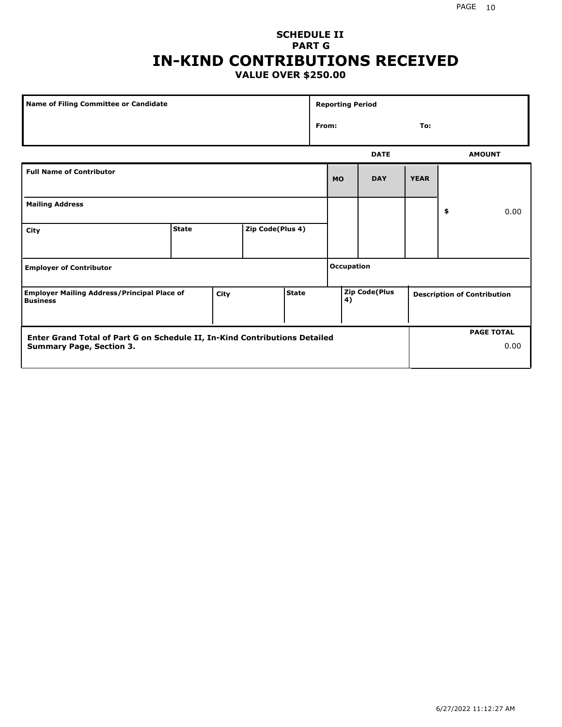### **SCHEDULE II PART G IN-KIND CONTRIBUTIONS RECEIVED VALUE OVER \$250.00**

| Name of Filing Committee or Candidate                                 |              |      |                  |                                                                           | <b>Reporting Period</b> |                   |             |             |    |               |
|-----------------------------------------------------------------------|--------------|------|------------------|---------------------------------------------------------------------------|-------------------------|-------------------|-------------|-------------|----|---------------|
|                                                                       |              |      |                  |                                                                           |                         | From:<br>To:      |             |             |    |               |
|                                                                       |              |      |                  |                                                                           |                         |                   | <b>DATE</b> |             |    | <b>AMOUNT</b> |
| <b>Full Name of Contributor</b>                                       |              |      |                  |                                                                           |                         | <b>MO</b>         | <b>DAY</b>  | <b>YEAR</b> |    |               |
| <b>Mailing Address</b>                                                |              |      |                  |                                                                           |                         |                   |             |             | \$ | 0.00          |
| City                                                                  | <b>State</b> |      | Zip Code(Plus 4) |                                                                           |                         |                   |             |             |    |               |
| <b>Employer of Contributor</b>                                        |              |      |                  |                                                                           |                         | <b>Occupation</b> |             |             |    |               |
| <b>Employer Mailing Address/Principal Place of</b><br><b>Business</b> |              | City |                  | Zip Code(Plus<br><b>State</b><br><b>Description of Contribution</b><br>4) |                         |                   |             |             |    |               |

| Enter Grand Total of Part G on Schedule II, In-Kind Contributions Detailed |  | <b>PAGE TOTAL</b> |
|----------------------------------------------------------------------------|--|-------------------|
| <b>Summary Page, Section 3.</b>                                            |  | 0.00              |
|                                                                            |  |                   |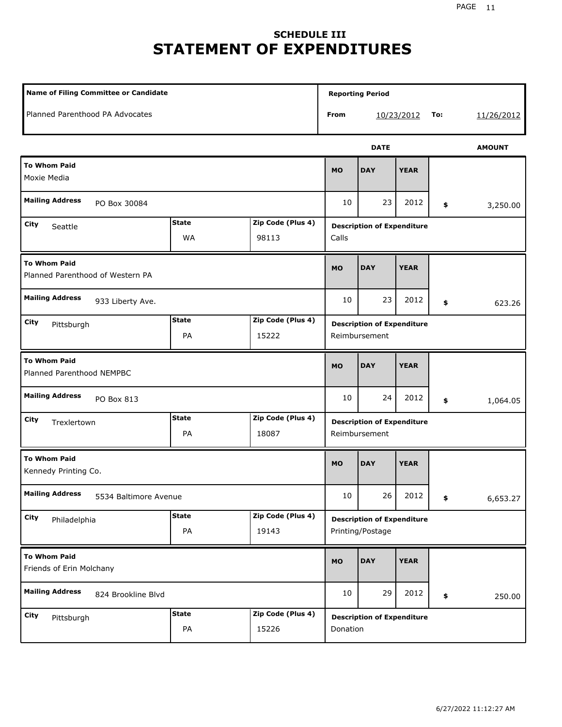## **SCHEDULE III STATEMENT OF EXPENDITURES**

| <b>Name of Filing Committee or Candidate</b>                                    |                    |                            |                                                       | <b>Reporting Period</b>                       |             |     |               |  |
|---------------------------------------------------------------------------------|--------------------|----------------------------|-------------------------------------------------------|-----------------------------------------------|-------------|-----|---------------|--|
| Planned Parenthood PA Advocates                                                 |                    |                            | From                                                  |                                               | 10/23/2012  | To: | 11/26/2012    |  |
|                                                                                 |                    |                            |                                                       | <b>DATE</b>                                   |             |     | <b>AMOUNT</b> |  |
| <b>To Whom Paid</b><br>Moxie Media                                              |                    |                            |                                                       | <b>DAY</b>                                    | <b>YEAR</b> |     |               |  |
| <b>Mailing Address</b><br>PO Box 30084                                          |                    |                            | 10                                                    | 23                                            | 2012        | \$  | 3,250.00      |  |
| <b>State</b><br>Zip Code (Plus 4)<br>City<br>Seattle<br>WA<br>98113             |                    |                            | <b>Description of Expenditure</b><br>Calls            |                                               |             |     |               |  |
| <b>To Whom Paid</b><br>Planned Parenthood of Western PA                         |                    |                            |                                                       | <b>DAY</b>                                    | <b>YEAR</b> |     |               |  |
| <b>Mailing Address</b><br>933 Liberty Ave.                                      |                    |                            |                                                       | 23                                            | 2012        | \$  | 623.26        |  |
| <b>State</b><br>Zip Code (Plus 4)<br>City<br>Pittsburgh<br>PA<br>15222          |                    |                            | <b>Description of Expenditure</b><br>Reimbursement    |                                               |             |     |               |  |
| <b>To Whom Paid</b><br>Planned Parenthood NEMPBC                                |                    |                            | <b>MO</b>                                             | <b>DAY</b>                                    | <b>YEAR</b> |     |               |  |
| <b>Mailing Address</b><br>PO Box 813                                            |                    |                            | 10                                                    | 24                                            | 2012        | \$  | 1,064.05      |  |
| <b>State</b><br>Zip Code (Plus 4)<br>City<br>Trexlertown<br>PA<br>18087         |                    |                            | <b>Description of Expenditure</b><br>Reimbursement    |                                               |             |     |               |  |
| <b>To Whom Paid</b><br>Kennedy Printing Co.                                     |                    |                            | <b>MO</b>                                             | <b>DAY</b>                                    | <b>YEAR</b> |     |               |  |
| <b>Mailing Address</b><br>5534 Baltimore Avenue                                 |                    |                            | 10                                                    | 26                                            | 2012        | \$  | 6,653.27      |  |
| <b>State</b><br>Zip Code (Plus 4)<br><b>City</b><br>Philadelphia<br>PA<br>19143 |                    |                            | <b>Description of Expenditure</b><br>Printing/Postage |                                               |             |     |               |  |
| <b>To Whom Paid</b><br>Friends of Erin Molchany                                 |                    |                            | <b>MO</b>                                             | <b>DAY</b>                                    | <b>YEAR</b> |     |               |  |
| <b>Mailing Address</b><br>824 Brookline Blvd                                    |                    |                            | 10                                                    | 29                                            | 2012        | \$  | 250.00        |  |
| City<br>Pittsburgh                                                              | <b>State</b><br>PA | Zip Code (Plus 4)<br>15226 |                                                       | <b>Description of Expenditure</b><br>Donation |             |     |               |  |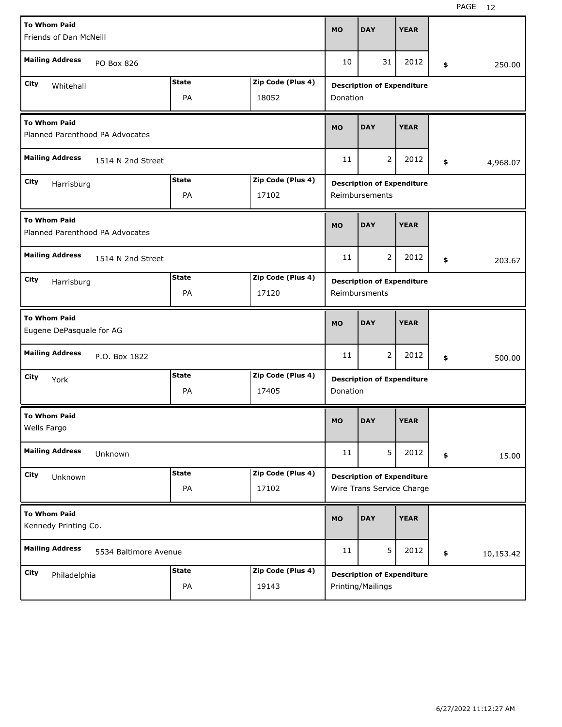| <b>To Whom Paid</b><br>Friends of Dan McNeill           |                       |              |                   | <b>MO</b>     | <b>DAY</b>                                                     | <b>YEAR</b> |    |  |           |  |  |
|---------------------------------------------------------|-----------------------|--------------|-------------------|---------------|----------------------------------------------------------------|-------------|----|--|-----------|--|--|
| <b>Mailing Address</b><br>PO Box 826                    |                       |              |                   |               | 31                                                             | 2012        | \$ |  | 250.00    |  |  |
| City<br>Whitehall                                       |                       | <b>State</b> | Zip Code (Plus 4) |               | <b>Description of Expenditure</b>                              |             |    |  |           |  |  |
| PA<br>18052                                             |                       |              |                   | Donation      |                                                                |             |    |  |           |  |  |
| <b>To Whom Paid</b><br>Planned Parenthood PA Advocates  |                       |              |                   |               | <b>DAY</b>                                                     | <b>YEAR</b> |    |  |           |  |  |
| <b>Mailing Address</b><br>1514 N 2nd Street             |                       |              |                   |               | $\overline{2}$                                                 | 2012        | \$ |  | 4,968.07  |  |  |
| City<br>Harrisburg                                      |                       | <b>State</b> | Zip Code (Plus 4) |               | <b>Description of Expenditure</b>                              |             |    |  |           |  |  |
|                                                         |                       | PA           | 17102             |               | Reimbursements                                                 |             |    |  |           |  |  |
| <b>To Whom Paid</b><br>Planned Parenthood PA Advocates  |                       |              |                   |               | <b>DAY</b>                                                     | <b>YEAR</b> |    |  |           |  |  |
| <b>Mailing Address</b><br>1514 N 2nd Street             |                       |              |                   |               | $\overline{2}$                                                 | 2012        | \$ |  | 203.67    |  |  |
| <b>State</b><br>Zip Code (Plus 4)<br>City<br>Harrisburg |                       |              |                   |               | <b>Description of Expenditure</b>                              |             |    |  |           |  |  |
| PA<br>17120                                             |                       |              |                   | Reimbursments |                                                                |             |    |  |           |  |  |
| <b>To Whom Paid</b><br>Eugene DePasquale for AG         |                       |              |                   |               |                                                                |             |    |  |           |  |  |
|                                                         |                       |              |                   | <b>MO</b>     | <b>DAY</b>                                                     | <b>YEAR</b> |    |  |           |  |  |
| <b>Mailing Address</b>                                  | P.O. Box 1822         |              |                   | 11            | 2                                                              | 2012        | \$ |  | 500.00    |  |  |
| City                                                    |                       | <b>State</b> | Zip Code (Plus 4) |               |                                                                |             |    |  |           |  |  |
| York                                                    |                       | PA           | 17405             | Donation      | <b>Description of Expenditure</b>                              |             |    |  |           |  |  |
| <b>To Whom Paid</b><br>Wells Fargo                      |                       |              |                   | MO            | <b>DAY</b>                                                     | <b>YEAR</b> |    |  |           |  |  |
| <b>Mailing Address</b>                                  | Unknown               |              |                   | 11            | 5                                                              | 2012        | \$ |  | 15.00     |  |  |
| City                                                    |                       | <b>State</b> | Zip Code (Plus 4) |               |                                                                |             |    |  |           |  |  |
| Unknown                                                 |                       | PA           | 17102             |               | <b>Description of Expenditure</b><br>Wire Trans Service Charge |             |    |  |           |  |  |
| <b>To Whom Paid</b><br>Kennedy Printing Co.             |                       |              |                   | <b>MO</b>     | <b>DAY</b>                                                     | <b>YEAR</b> |    |  |           |  |  |
| <b>Mailing Address</b>                                  | 5534 Baltimore Avenue |              |                   | 11            | 5                                                              | 2012        | \$ |  | 10,153.42 |  |  |
| City<br>Philadelphia                                    |                       | <b>State</b> | Zip Code (Plus 4) |               | <b>Description of Expenditure</b>                              |             |    |  |           |  |  |

H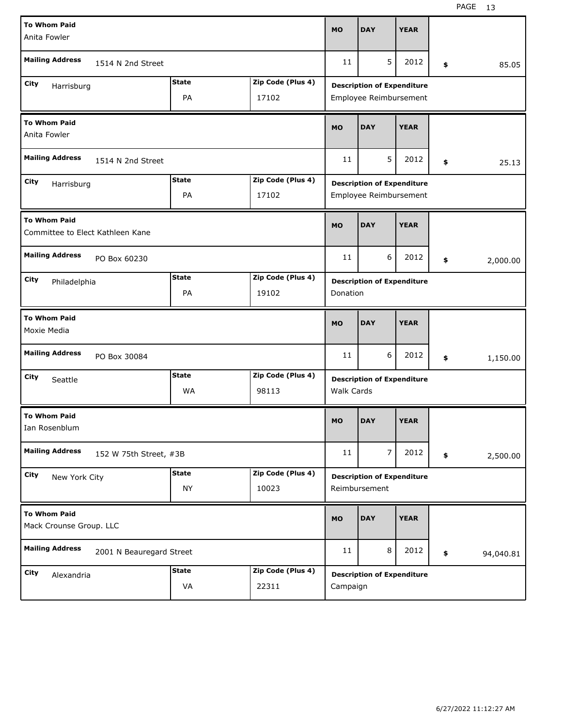| <b>To Whom Paid</b>                                     |                          |              |                   |                   |                                   |             |    |  |           |
|---------------------------------------------------------|--------------------------|--------------|-------------------|-------------------|-----------------------------------|-------------|----|--|-----------|
| Anita Fowler                                            |                          |              |                   | <b>MO</b>         | <b>DAY</b>                        | <b>YEAR</b> |    |  |           |
| <b>Mailing Address</b><br>1514 N 2nd Street             |                          |              |                   |                   | 5                                 | 2012        | \$ |  | 85.05     |
| City<br>Harrisburg                                      |                          | <b>State</b> | Zip Code (Plus 4) |                   | <b>Description of Expenditure</b> |             |    |  |           |
| PA<br>17102                                             |                          |              |                   |                   | Employee Reimbursement            |             |    |  |           |
| <b>To Whom Paid</b><br>Anita Fowler                     |                          |              |                   |                   | <b>DAY</b>                        | <b>YEAR</b> |    |  |           |
| <b>Mailing Address</b><br>1514 N 2nd Street             |                          |              |                   |                   | 5                                 | 2012        | \$ |  | 25.13     |
| City<br>Harrisburg                                      |                          | <b>State</b> | Zip Code (Plus 4) |                   | <b>Description of Expenditure</b> |             |    |  |           |
|                                                         |                          | PA           | 17102             |                   | Employee Reimbursement            |             |    |  |           |
| <b>To Whom Paid</b><br>Committee to Elect Kathleen Kane |                          |              |                   | <b>MO</b>         | <b>DAY</b>                        | <b>YEAR</b> |    |  |           |
| <b>Mailing Address</b><br>PO Box 60230                  |                          |              |                   |                   | 6                                 | 2012        | \$ |  | 2,000.00  |
| City<br>Philadelphia                                    |                          | <b>State</b> | Zip Code (Plus 4) |                   | <b>Description of Expenditure</b> |             |    |  |           |
| PA<br>19102                                             |                          |              |                   | Donation          |                                   |             |    |  |           |
| <b>To Whom Paid</b><br>Moxie Media                      |                          |              |                   |                   |                                   |             |    |  |           |
|                                                         |                          |              |                   | <b>MO</b>         | <b>DAY</b>                        | <b>YEAR</b> |    |  |           |
| <b>Mailing Address</b>                                  | PO Box 30084             |              |                   | 11                | 6                                 | 2012        | \$ |  | 1,150.00  |
| City<br>Seattle                                         |                          | <b>State</b> | Zip Code (Plus 4) |                   | <b>Description of Expenditure</b> |             |    |  |           |
|                                                         |                          | WA           | 98113             | <b>Walk Cards</b> |                                   |             |    |  |           |
| <b>To Whom Paid</b><br>Ian Rosenblum                    |                          |              |                   | <b>MO</b>         | <b>DAY</b>                        | <b>YEAR</b> |    |  |           |
| <b>Mailing Address</b>                                  | 152 W 75th Street, #3B   |              |                   | 11                | 7                                 | 2012        | \$ |  | 2,500.00  |
| City                                                    |                          | <b>State</b> | Zip Code (Plus 4) |                   | <b>Description of Expenditure</b> |             |    |  |           |
| New York City                                           |                          | <b>NY</b>    | 10023             |                   | Reimbursement                     |             |    |  |           |
| <b>To Whom Paid</b><br>Mack Crounse Group. LLC          |                          |              |                   | <b>MO</b>         | <b>DAY</b>                        | <b>YEAR</b> |    |  |           |
| <b>Mailing Address</b>                                  | 2001 N Beauregard Street |              |                   | 11                | 8                                 | 2012        | \$ |  | 94,040.81 |
| City<br>Alexandria                                      |                          | <b>State</b> | Zip Code (Plus 4) |                   | <b>Description of Expenditure</b> |             |    |  |           |

H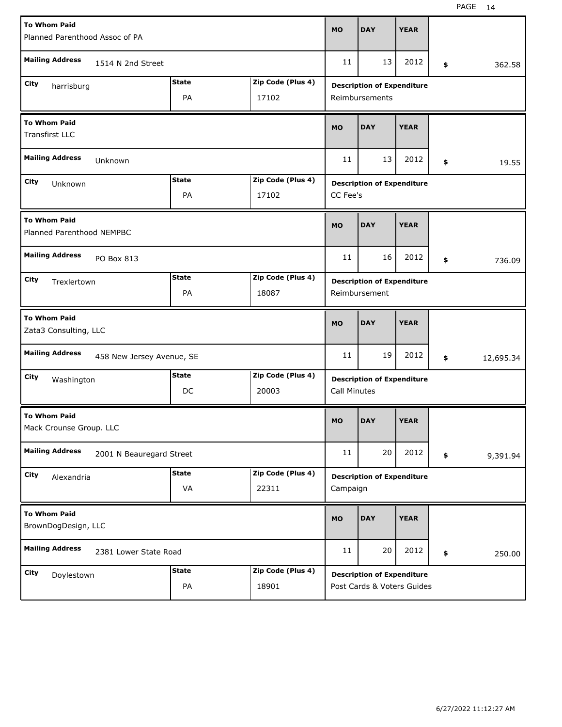| <b>To Whom Paid</b>                                      |              |                   |                     |                                   |             |               |           |  |  |  |  |
|----------------------------------------------------------|--------------|-------------------|---------------------|-----------------------------------|-------------|---------------|-----------|--|--|--|--|
| Planned Parenthood Assoc of PA                           |              |                   |                     | <b>DAY</b>                        | <b>YEAR</b> |               |           |  |  |  |  |
| <b>Mailing Address</b><br>1514 N 2nd Street              | 11           | 13                | 2012                | \$                                | 362.58      |               |           |  |  |  |  |
| City<br>harrisburg                                       | <b>State</b> | Zip Code (Plus 4) |                     | <b>Description of Expenditure</b> |             |               |           |  |  |  |  |
| PA<br>17102                                              |              |                   |                     | Reimbursements                    |             |               |           |  |  |  |  |
| <b>To Whom Paid</b><br><b>Transfirst LLC</b>             | <b>MO</b>    | <b>DAY</b>        | <b>YEAR</b>         |                                   |             |               |           |  |  |  |  |
| <b>Mailing Address</b><br>Unknown                        |              |                   |                     | 13                                | 2012        | \$            | 19.55     |  |  |  |  |
| City<br>Unknown                                          | <b>State</b> | Zip Code (Plus 4) |                     | <b>Description of Expenditure</b> |             |               |           |  |  |  |  |
|                                                          | PA           | 17102             | CC Fee's            |                                   |             |               |           |  |  |  |  |
| <b>To Whom Paid</b><br>Planned Parenthood NEMPBC         |              |                   | <b>MO</b>           | <b>DAY</b>                        | <b>YEAR</b> |               |           |  |  |  |  |
| <b>Mailing Address</b><br>PO Box 813                     |              |                   |                     | 16                                | 2012        | \$            | 736.09    |  |  |  |  |
| <b>State</b><br>Zip Code (Plus 4)<br>City<br>Trexlertown |              |                   |                     | <b>Description of Expenditure</b> |             |               |           |  |  |  |  |
|                                                          | PA           | 18087             |                     |                                   |             | Reimbursement |           |  |  |  |  |
| <b>To Whom Paid</b><br>Zata3 Consulting, LLC             |              |                   |                     |                                   |             |               |           |  |  |  |  |
|                                                          |              |                   | <b>MO</b>           | <b>DAY</b>                        | <b>YEAR</b> |               |           |  |  |  |  |
| <b>Mailing Address</b><br>458 New Jersey Avenue, SE      |              |                   | 11                  | 19                                | 2012        | \$            | 12,695.34 |  |  |  |  |
| City                                                     | <b>State</b> | Zip Code (Plus 4) |                     | <b>Description of Expenditure</b> |             |               |           |  |  |  |  |
| Washington                                               | DC           | 20003             | <b>Call Minutes</b> |                                   |             |               |           |  |  |  |  |
| <b>To Whom Paid</b><br>Mack Crounse Group. LLC           |              |                   | MO                  | <b>DAY</b>                        | <b>YEAR</b> |               |           |  |  |  |  |
| <b>Mailing Address</b><br>2001 N Beauregard Street       |              |                   | 11                  | 20                                | 2012        | \$            | 9,391.94  |  |  |  |  |
| City                                                     | <b>State</b> | Zip Code (Plus 4) |                     | <b>Description of Expenditure</b> |             |               |           |  |  |  |  |
| Alexandria                                               | VA           | 22311             | Campaign            |                                   |             |               |           |  |  |  |  |
| <b>To Whom Paid</b><br>BrownDogDesign, LLC               |              |                   | <b>MO</b>           | <b>DAY</b>                        | <b>YEAR</b> |               |           |  |  |  |  |
| <b>Mailing Address</b><br>2381 Lower State Road          |              |                   | 11                  | 20                                | 2012        | \$            | 250.00    |  |  |  |  |
| City<br>Doylestown                                       | <b>State</b> | Zip Code (Plus 4) |                     | <b>Description of Expenditure</b> |             |               |           |  |  |  |  |